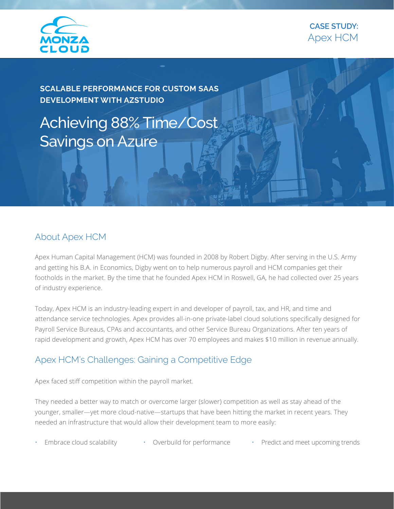



**SCALABLE PERFORMANCE FOR CUSTOM SAAS DEVELOPMENT WITH AZSTUDIO**

Achieving 88% Time/Cost Savings on Azure

#### About Apex HCM

Apex Human Capital Management (HCM) was founded in 2008 by Robert Digby. After serving in the U.S. Army and getting his B.A. in Economics, Digby went on to help numerous payroll and HCM companies get their footholds in the market. By the time that he founded Apex HCM in Roswell, GA, he had collected over 25 years of industry experience.

Today, Apex HCM is an industry-leading expert in and developer of payroll, tax, and HR, and time and attendance service technologies. Apex provides all-in-one private-label cloud solutions specifically designed for Payroll Service Bureaus, CPAs and accountants, and other Service Bureau Organizations. After ten years of rapid development and growth, Apex HCM has over 70 employees and makes \$10 million in revenue annually.

### Apex HCM's Challenges: Gaining a Competitive Edge

Apex faced stiff competition within the payroll market.

They needed a better way to match or overcome larger (slower) competition as well as stay ahead of the younger, smaller—yet more cloud-native—startups that have been hitting the market in recent years. They needed an infrastructure that would allow their development team to more easily:

Embrace cloud scalability • Overbuild for performance • Predict and meet upcoming trends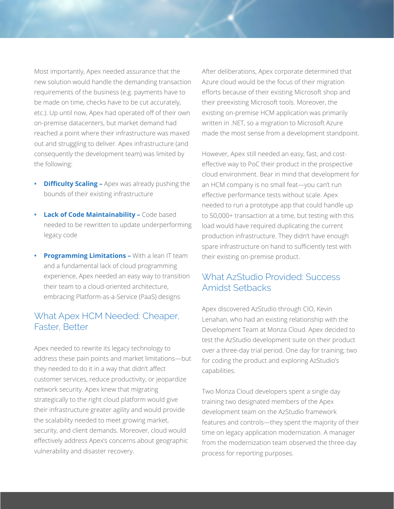Most importantly, Apex needed assurance that the new solution would handle the demanding transaction requirements of the business (e.g. payments have to be made on time, checks have to be cut accurately, etc.). Up until now, Apex had operated off of their own on-premise datacenters, but market demand had reached a point where their infrastructure was maxed out and struggling to deliver. Apex infrastructure (and consequently the development team) was limited by the following:

- **• Difficulty Scaling –** Apex was already pushing the bounds of their existing infrastructure
- **• Lack of Code Maintainability –** Code based needed to be rewritten to update underperforming legacy code
- **• Programming Limitations** With a lean IT team and a fundamental lack of cloud programming experience, Apex needed an easy way to transition their team to a cloud-oriented architecture, embracing Platform-as-a-Service (PaaS) designs

### What Apex HCM Needed: Cheaper, Faster, Better

Apex needed to rewrite its legacy technology to address these pain points and market limitations—but they needed to do it in a way that didn't affect customer services, reduce productivity, or jeopardize network security. Apex knew that migrating strategically to the right cloud platform would give their infrastructure greater agility and would provide the scalability needed to meet growing market, security, and client demands. Moreover, cloud would effectively address Apex's concerns about geographic vulnerability and disaster recovery.

After deliberations, Apex corporate determined that Azure cloud would be the focus of their migration efforts because of their existing Microsoft shop and their preexisting Microsoft tools. Moreover, the existing on-premise HCM application was primarily written in .NET, so a migration to Microsoft Azure made the most sense from a development standpoint.

However, Apex still needed an easy, fast, and costeffective way to PoC their product in the prospective cloud environment. Bear in mind that development for an HCM company is no small feat—you can't run effective performance tests without scale. Apex needed to run a prototype app that could handle up to 50,000+ transaction at a time, but testing with this load would have required duplicating the current production infrastructure. They didn't have enough spare infrastructure on hand to sufficiently test with their existing on-premise product.

### What AzStudio Provided: Success Amidst Setbacks

Apex discovered AzStudio through CIO, Kevin Lenahan, who had an existing relationship with the Development Team at Monza Cloud. Apex decided to test the AzStudio development suite on their product over a three-day trial period. One day for training; two for coding the product and exploring AzStudio's capabilities.

Two Monza Cloud developers spent a single day training two designated members of the Apex development team on the AzStudio framework features and controls—they spent the majority of their time on legacy application modernization. A manager from the modernization team observed the three-day process for reporting purposes.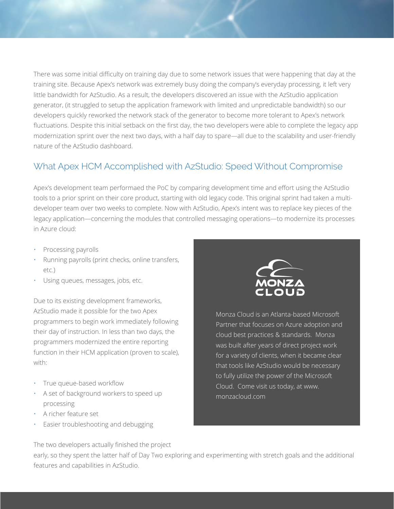There was some initial difficulty on training day due to some network issues that were happening that day at the training site. Because Apex's network was extremely busy doing the company's everyday processing, it left very little bandwidth for AzStudio. As a result, the developers discovered an issue with the AzStudio application generator, (it struggled to setup the application framework with limited and unpredictable bandwidth) so our developers quickly reworked the network stack of the generator to become more tolerant to Apex's network fluctuations. Despite this initial setback on the first day, the two developers were able to complete the legacy app modernization sprint over the next two days, with a half day to spare—all due to the scalability and user-friendly nature of the AzStudio dashboard.

## What Apex HCM Accomplished with AzStudio: Speed Without Compromise

Apex's development team performaed the PoC by comparing development time and effort using the AzStudio tools to a prior sprint on their core product, starting with old legacy code. This original sprint had taken a multideveloper team over two weeks to complete. Now with AzStudio, Apex's intent was to replace key pieces of the legacy application—concerning the modules that controlled messaging operations—to modernize its processes in Azure cloud:

- Processing payrolls
- Running payrolls (print checks, online transfers, etc.)
- Using queues, messages, jobs, etc.

Due to its existing development frameworks, AzStudio made it possible for the two Apex programmers to begin work immediately following their day of instruction. In less than two days, the programmers modernized the entire reporting function in their HCM application (proven to scale), with:

- True queue-based workflow
- A set of background workers to speed up processing
- A richer feature set
- Easier troubleshooting and debugging



Monza Cloud is an Atlanta-based Microsoft Partner that focuses on Azure adoption and cloud best practices & standards. Monza was built after years of direct project work for a variety of clients, when it became clear that tools like AzStudio would be necessary to fully utilize the power of the Microsoft Cloud. Come visit us today, at www. monzacloud.com

The two developers actually finished the project

early, so they spent the latter half of Day Two exploring and experimenting with stretch goals and the additional features and capabilities in AzStudio.